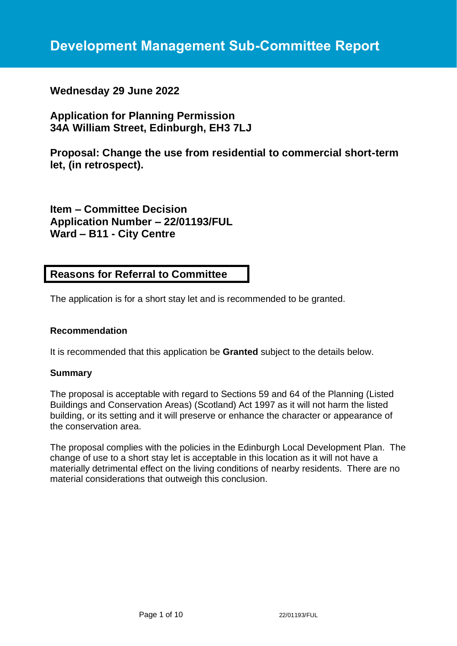## **Wednesday 29 June 2022**

# **Application for Planning Permission 34A William Street, Edinburgh, EH3 7LJ**

**Proposal: Change the use from residential to commercial short-term let, (in retrospect).**

**Item – Committee Decision Application Number – 22/01193/FUL Ward – B11 - City Centre**

## **Reasons for Referral to Committee**

The application is for a short stay let and is recommended to be granted.

## **Recommendation**

It is recommended that this application be **Granted** subject to the details below.

## **Summary**

The proposal is acceptable with regard to Sections 59 and 64 of the Planning (Listed Buildings and Conservation Areas) (Scotland) Act 1997 as it will not harm the listed building, or its setting and it will preserve or enhance the character or appearance of the conservation area.

The proposal complies with the policies in the Edinburgh Local Development Plan. The change of use to a short stay let is acceptable in this location as it will not have a materially detrimental effect on the living conditions of nearby residents. There are no material considerations that outweigh this conclusion.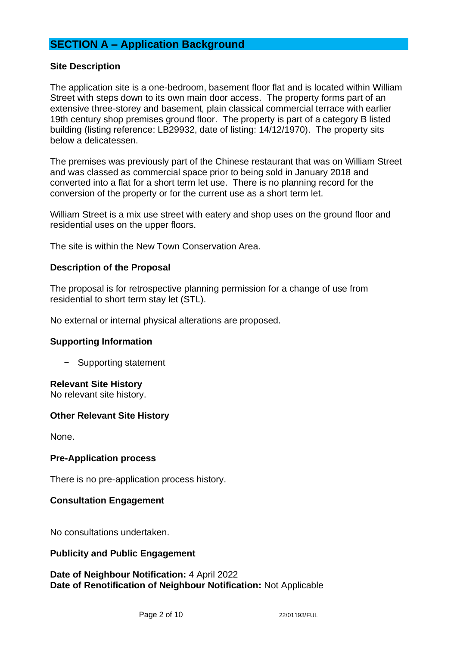# **SECTION A – Application Background**

## **Site Description**

The application site is a one-bedroom, basement floor flat and is located within William Street with steps down to its own main door access. The property forms part of an extensive three-storey and basement, plain classical commercial terrace with earlier 19th century shop premises ground floor. The property is part of a category B listed building (listing reference: LB29932, date of listing: 14/12/1970). The property sits below a delicatessen.

The premises was previously part of the Chinese restaurant that was on William Street and was classed as commercial space prior to being sold in January 2018 and converted into a flat for a short term let use. There is no planning record for the conversion of the property or for the current use as a short term let.

William Street is a mix use street with eatery and shop uses on the ground floor and residential uses on the upper floors.

The site is within the New Town Conservation Area.

## **Description of the Proposal**

The proposal is for retrospective planning permission for a change of use from residential to short term stay let (STL).

No external or internal physical alterations are proposed.

## **Supporting Information**

− Supporting statement

#### **Relevant Site History**

No relevant site history.

## **Other Relevant Site History**

None.

#### **Pre-Application process**

There is no pre-application process history.

## **Consultation Engagement**

No consultations undertaken.

## **Publicity and Public Engagement**

#### **Date of Neighbour Notification:** 4 April 2022 **Date of Renotification of Neighbour Notification:** Not Applicable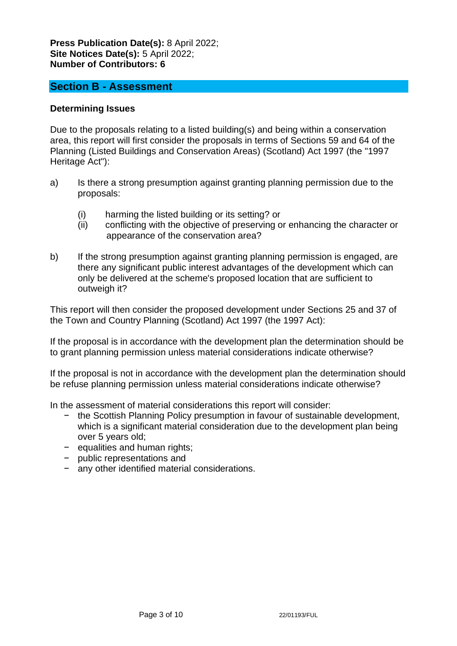## **Press Publication Date(s):** 8 April 2022; **Site Notices Date(s):** 5 April 2022; **Number of Contributors: 6**

## **Section B - Assessment**

## **Determining Issues**

Due to the proposals relating to a listed building(s) and being within a conservation area, this report will first consider the proposals in terms of Sections 59 and 64 of the Planning (Listed Buildings and Conservation Areas) (Scotland) Act 1997 (the "1997 Heritage Act"):

- a) Is there a strong presumption against granting planning permission due to the proposals:
	- (i) harming the listed building or its setting? or
	- (ii) conflicting with the objective of preserving or enhancing the character or appearance of the conservation area?
- b) If the strong presumption against granting planning permission is engaged, are there any significant public interest advantages of the development which can only be delivered at the scheme's proposed location that are sufficient to outweigh it?

This report will then consider the proposed development under Sections 25 and 37 of the Town and Country Planning (Scotland) Act 1997 (the 1997 Act):

If the proposal is in accordance with the development plan the determination should be to grant planning permission unless material considerations indicate otherwise?

If the proposal is not in accordance with the development plan the determination should be refuse planning permission unless material considerations indicate otherwise?

In the assessment of material considerations this report will consider:

- − the Scottish Planning Policy presumption in favour of sustainable development, which is a significant material consideration due to the development plan being over 5 years old;
- − equalities and human rights;
- − public representations and
- − any other identified material considerations.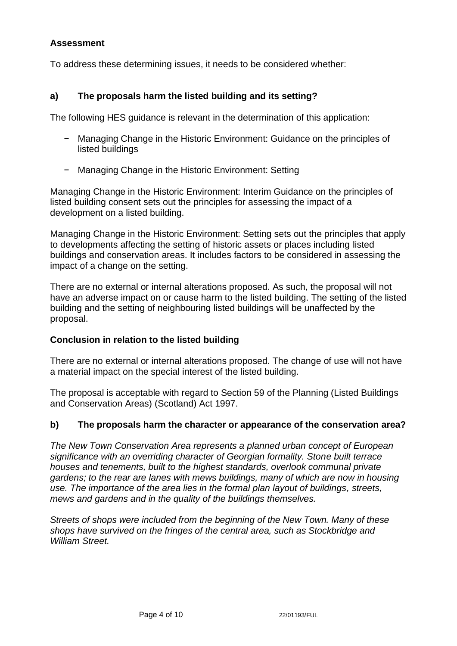## **Assessment**

To address these determining issues, it needs to be considered whether:

## **a) The proposals harm the listed building and its setting?**

The following HES guidance is relevant in the determination of this application:

- − Managing Change in the Historic Environment: Guidance on the principles of listed buildings
- − Managing Change in the Historic Environment: Setting

Managing Change in the Historic Environment: Interim Guidance on the principles of listed building consent sets out the principles for assessing the impact of a development on a listed building.

Managing Change in the Historic Environment: Setting sets out the principles that apply to developments affecting the setting of historic assets or places including listed buildings and conservation areas. It includes factors to be considered in assessing the impact of a change on the setting.

There are no external or internal alterations proposed. As such, the proposal will not have an adverse impact on or cause harm to the listed building. The setting of the listed building and the setting of neighbouring listed buildings will be unaffected by the proposal.

## **Conclusion in relation to the listed building**

There are no external or internal alterations proposed. The change of use will not have a material impact on the special interest of the listed building.

The proposal is acceptable with regard to Section 59 of the Planning (Listed Buildings and Conservation Areas) (Scotland) Act 1997.

## **b) The proposals harm the character or appearance of the conservation area?**

*The New Town Conservation Area represents a planned urban concept of European significance with an overriding character of Georgian formality. Stone built terrace houses and tenements, built to the highest standards, overlook communal private gardens: to the rear are lanes with mews buildings, many of which are now in housing use. The importance of the area lies in the formal plan layout of buildings, streets, mews and gardens and in the quality of the buildings themselves.*

*Streets of shops were included from the beginning of the New Town. Many of these shops have survived on the fringes of the central area, such as Stockbridge and William Street.*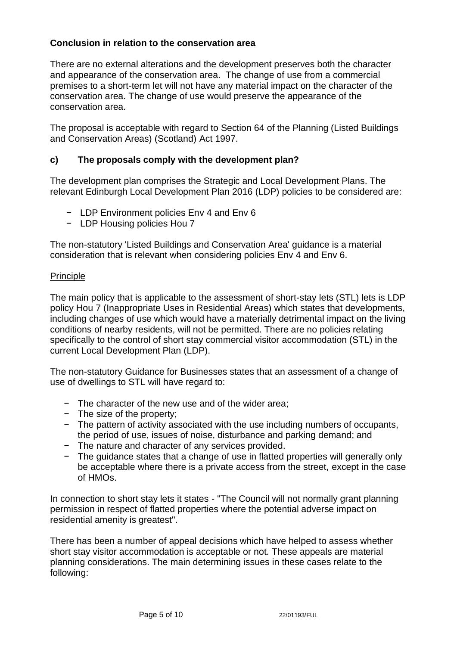## **Conclusion in relation to the conservation area**

There are no external alterations and the development preserves both the character and appearance of the conservation area. The change of use from a commercial premises to a short-term let will not have any material impact on the character of the conservation area. The change of use would preserve the appearance of the conservation area.

The proposal is acceptable with regard to Section 64 of the Planning (Listed Buildings and Conservation Areas) (Scotland) Act 1997.

## **c) The proposals comply with the development plan?**

The development plan comprises the Strategic and Local Development Plans. The relevant Edinburgh Local Development Plan 2016 (LDP) policies to be considered are:

- − LDP Environment policies Env 4 and Env 6
- − LDP Housing policies Hou 7

The non-statutory 'Listed Buildings and Conservation Area' guidance is a material consideration that is relevant when considering policies Env 4 and Env 6.

#### Principle

The main policy that is applicable to the assessment of short-stay lets (STL) lets is LDP policy Hou 7 (Inappropriate Uses in Residential Areas) which states that developments, including changes of use which would have a materially detrimental impact on the living conditions of nearby residents, will not be permitted. There are no policies relating specifically to the control of short stay commercial visitor accommodation (STL) in the current Local Development Plan (LDP).

The non-statutory Guidance for Businesses states that an assessment of a change of use of dwellings to STL will have regard to:

- − The character of the new use and of the wider area;
- − The size of the property;
- − The pattern of activity associated with the use including numbers of occupants, the period of use, issues of noise, disturbance and parking demand; and
- − The nature and character of any services provided.
- − The guidance states that a change of use in flatted properties will generally only be acceptable where there is a private access from the street, except in the case of HMOs.

In connection to short stay lets it states - "The Council will not normally grant planning permission in respect of flatted properties where the potential adverse impact on residential amenity is greatest".

There has been a number of appeal decisions which have helped to assess whether short stay visitor accommodation is acceptable or not. These appeals are material planning considerations. The main determining issues in these cases relate to the following: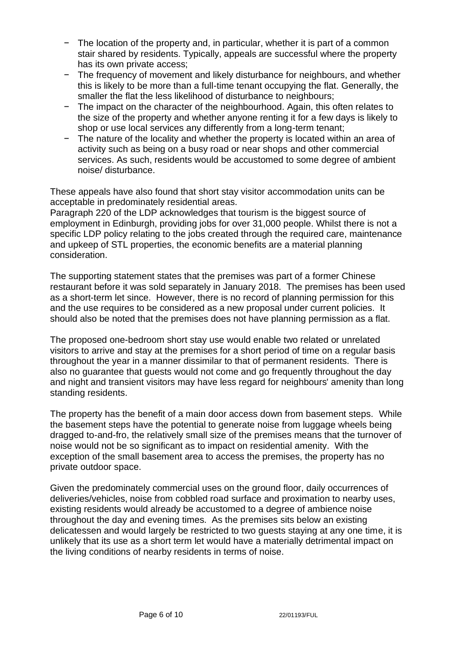- − The location of the property and, in particular, whether it is part of a common stair shared by residents. Typically, appeals are successful where the property has its own private access;
- − The frequency of movement and likely disturbance for neighbours, and whether this is likely to be more than a full-time tenant occupying the flat. Generally, the smaller the flat the less likelihood of disturbance to neighbours;
- − The impact on the character of the neighbourhood. Again, this often relates to the size of the property and whether anyone renting it for a few days is likely to shop or use local services any differently from a long-term tenant;
- − The nature of the locality and whether the property is located within an area of activity such as being on a busy road or near shops and other commercial services. As such, residents would be accustomed to some degree of ambient noise/ disturbance.

These appeals have also found that short stay visitor accommodation units can be acceptable in predominately residential areas.

Paragraph 220 of the LDP acknowledges that tourism is the biggest source of employment in Edinburgh, providing jobs for over 31,000 people. Whilst there is not a specific LDP policy relating to the jobs created through the required care, maintenance and upkeep of STL properties, the economic benefits are a material planning consideration.

The supporting statement states that the premises was part of a former Chinese restaurant before it was sold separately in January 2018. The premises has been used as a short-term let since. However, there is no record of planning permission for this and the use requires to be considered as a new proposal under current policies. It should also be noted that the premises does not have planning permission as a flat.

The proposed one-bedroom short stay use would enable two related or unrelated visitors to arrive and stay at the premises for a short period of time on a regular basis throughout the year in a manner dissimilar to that of permanent residents. There is also no guarantee that guests would not come and go frequently throughout the day and night and transient visitors may have less regard for neighbours' amenity than long standing residents.

The property has the benefit of a main door access down from basement steps. While the basement steps have the potential to generate noise from luggage wheels being dragged to-and-fro, the relatively small size of the premises means that the turnover of noise would not be so significant as to impact on residential amenity. With the exception of the small basement area to access the premises, the property has no private outdoor space.

Given the predominately commercial uses on the ground floor, daily occurrences of deliveries/vehicles, noise from cobbled road surface and proximation to nearby uses, existing residents would already be accustomed to a degree of ambience noise throughout the day and evening times. As the premises sits below an existing delicatessen and would largely be restricted to two guests staying at any one time, it is unlikely that its use as a short term let would have a materially detrimental impact on the living conditions of nearby residents in terms of noise.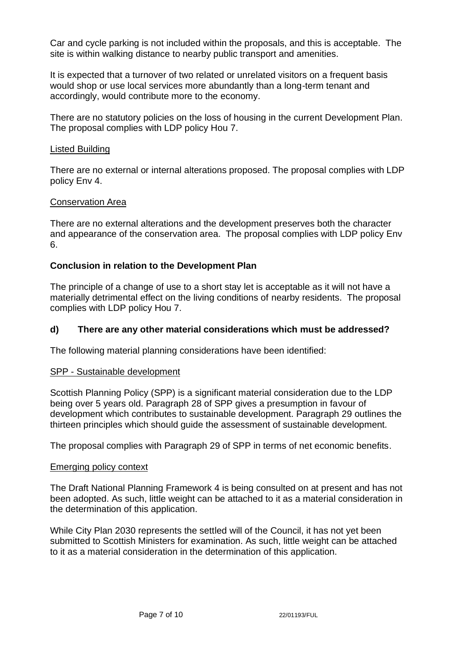Car and cycle parking is not included within the proposals, and this is acceptable. The site is within walking distance to nearby public transport and amenities.

It is expected that a turnover of two related or unrelated visitors on a frequent basis would shop or use local services more abundantly than a long-term tenant and accordingly, would contribute more to the economy.

There are no statutory policies on the loss of housing in the current Development Plan. The proposal complies with LDP policy Hou 7.

#### Listed Building

There are no external or internal alterations proposed. The proposal complies with LDP policy Env 4.

#### Conservation Area

There are no external alterations and the development preserves both the character and appearance of the conservation area. The proposal complies with LDP policy Env 6.

## **Conclusion in relation to the Development Plan**

The principle of a change of use to a short stay let is acceptable as it will not have a materially detrimental effect on the living conditions of nearby residents. The proposal complies with LDP policy Hou 7.

## **d) There are any other material considerations which must be addressed?**

The following material planning considerations have been identified:

#### SPP - Sustainable development

Scottish Planning Policy (SPP) is a significant material consideration due to the LDP being over 5 years old. Paragraph 28 of SPP gives a presumption in favour of development which contributes to sustainable development. Paragraph 29 outlines the thirteen principles which should guide the assessment of sustainable development.

The proposal complies with Paragraph 29 of SPP in terms of net economic benefits.

#### Emerging policy context

The Draft National Planning Framework 4 is being consulted on at present and has not been adopted. As such, little weight can be attached to it as a material consideration in the determination of this application.

While City Plan 2030 represents the settled will of the Council, it has not yet been submitted to Scottish Ministers for examination. As such, little weight can be attached to it as a material consideration in the determination of this application.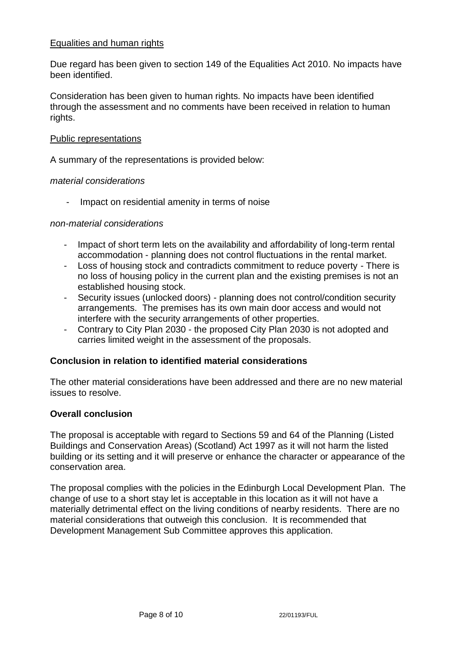## Equalities and human rights

Due regard has been given to section 149 of the Equalities Act 2010. No impacts have been identified.

Consideration has been given to human rights. No impacts have been identified through the assessment and no comments have been received in relation to human rights.

#### Public representations

A summary of the representations is provided below:

#### *material considerations*

Impact on residential amenity in terms of noise

#### *non-material considerations*

- Impact of short term lets on the availability and affordability of long-term rental accommodation - planning does not control fluctuations in the rental market.
- Loss of housing stock and contradicts commitment to reduce poverty There is no loss of housing policy in the current plan and the existing premises is not an established housing stock.
- Security issues (unlocked doors) planning does not control/condition security arrangements. The premises has its own main door access and would not interfere with the security arrangements of other properties.
- Contrary to City Plan 2030 the proposed City Plan 2030 is not adopted and carries limited weight in the assessment of the proposals.

## **Conclusion in relation to identified material considerations**

The other material considerations have been addressed and there are no new material issues to resolve.

## **Overall conclusion**

The proposal is acceptable with regard to Sections 59 and 64 of the Planning (Listed Buildings and Conservation Areas) (Scotland) Act 1997 as it will not harm the listed building or its setting and it will preserve or enhance the character or appearance of the conservation area.

The proposal complies with the policies in the Edinburgh Local Development Plan. The change of use to a short stay let is acceptable in this location as it will not have a materially detrimental effect on the living conditions of nearby residents. There are no material considerations that outweigh this conclusion. It is recommended that Development Management Sub Committee approves this application.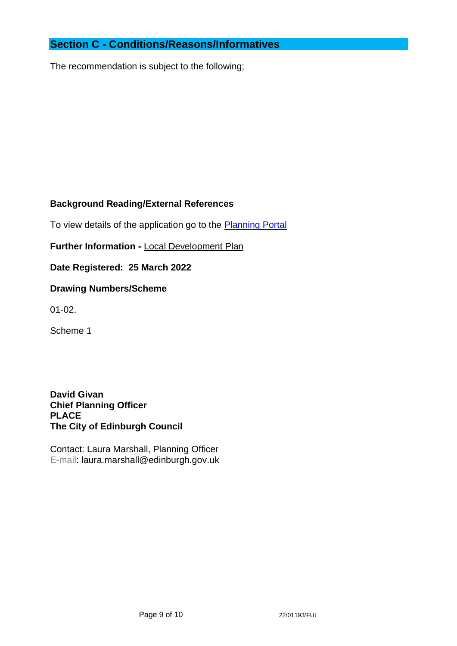# **Section C - Conditions/Reasons/Informatives**

The recommendation is subject to the following;

## **Background Reading/External References**

To view details of the application go to the [Planning Portal](https://citydev-portal.edinburgh.gov.uk/idoxpa-web/applicationDetails.do?activeTab=summary&keyVal=R8KNNMEWLDG00)

**Further Information -** [Local Development Plan](https://www.edinburgh.gov.uk/local-development-plan-guidance-1/edinburgh-local-development-plan/1)

**Date Registered: 25 March 2022**

## **Drawing Numbers/Scheme**

01-02.

Scheme 1

**David Givan Chief Planning Officer PLACE The City of Edinburgh Council**

Contact: Laura Marshall, Planning Officer E-mail: laura.marshall@edinburgh.gov.uk